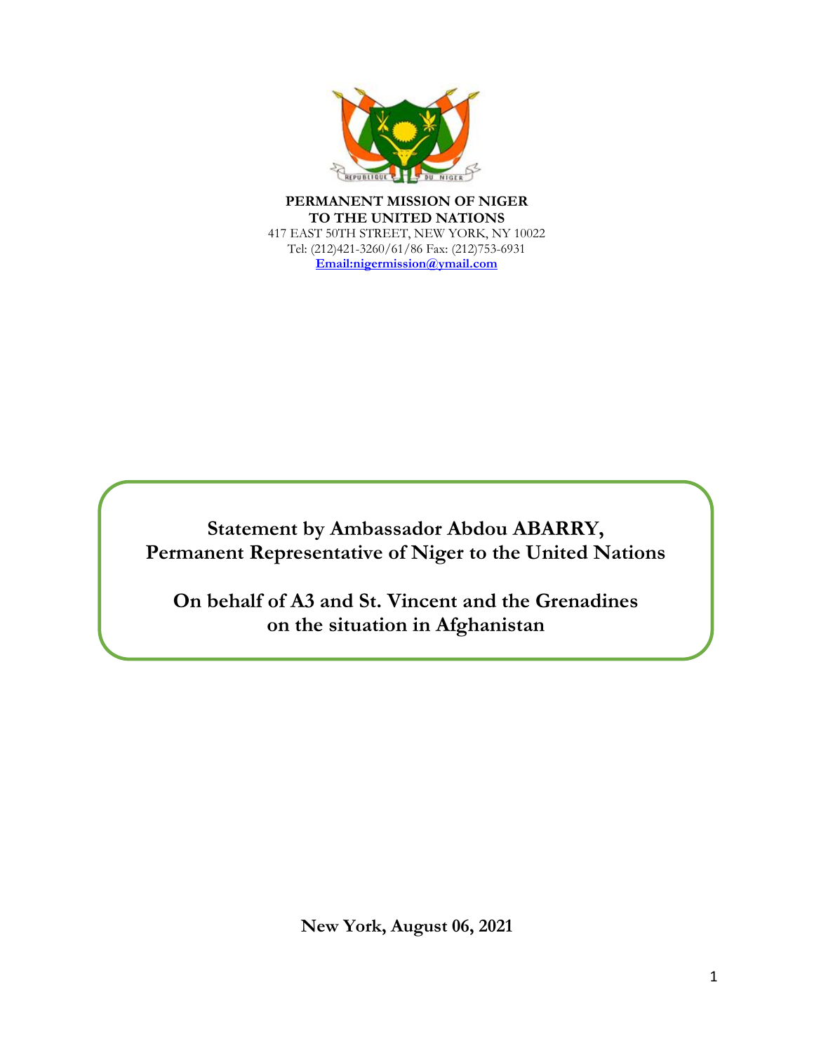

**PERMANENT MISSION OF NIGER TO THE UNITED NATIONS** 417 EAST 50TH STREET, NEW YORK, NY 10022 Tel: (212)421-3260/61/86 Fax: (212)753-6931 **Email:nigermission@ymail.com**

**Statement by Ambassador Abdou ABARRY, Permanent Representative of Niger to the United Nations**

**On behalf of A3 and St. Vincent and the Grenadines on the situation in Afghanistan**

**New York, August 06, 2021**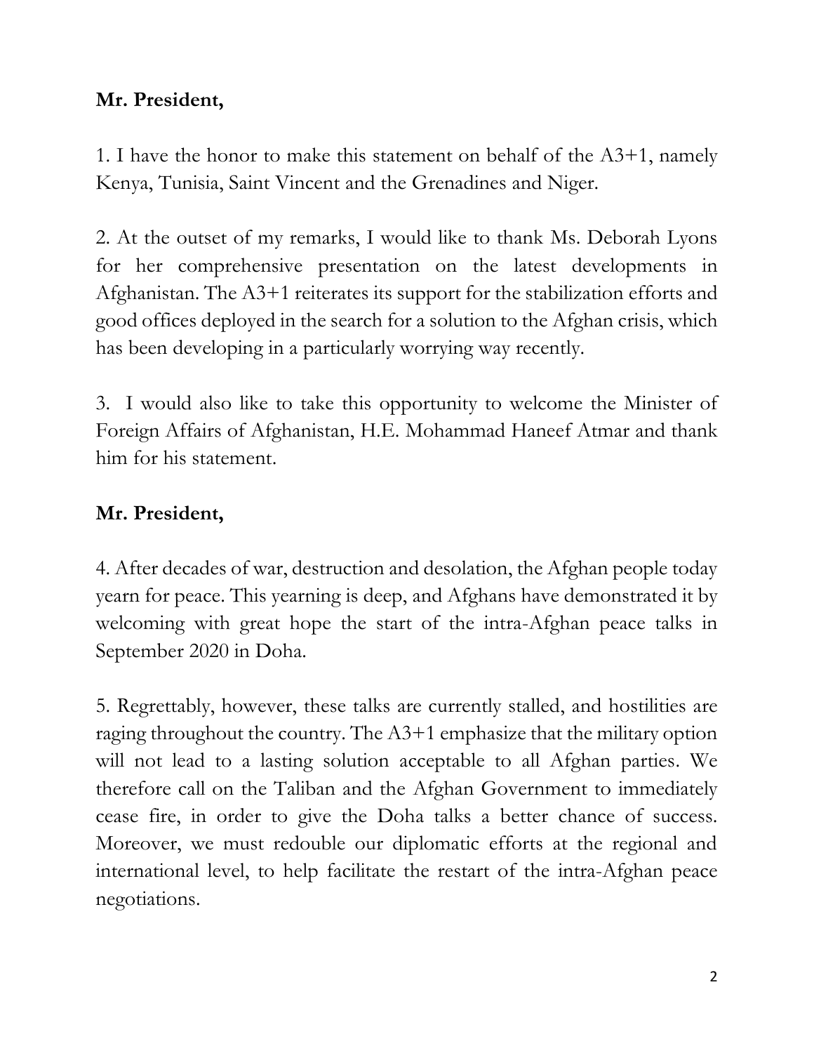### **Mr. President,**

1. I have the honor to make this statement on behalf of the A3+1, namely Kenya, Tunisia, Saint Vincent and the Grenadines and Niger.

2. At the outset of my remarks, I would like to thank Ms. Deborah Lyons for her comprehensive presentation on the latest developments in Afghanistan. The A3+1 reiterates its support for the stabilization efforts and good offices deployed in the search for a solution to the Afghan crisis, which has been developing in a particularly worrying way recently.

3. I would also like to take this opportunity to welcome the Minister of Foreign Affairs of Afghanistan, H.E. Mohammad Haneef Atmar and thank him for his statement.

## **Mr. President,**

4. After decades of war, destruction and desolation, the Afghan people today yearn for peace. This yearning is deep, and Afghans have demonstrated it by welcoming with great hope the start of the intra-Afghan peace talks in September 2020 in Doha.

5. Regrettably, however, these talks are currently stalled, and hostilities are raging throughout the country. The A3+1 emphasize that the military option will not lead to a lasting solution acceptable to all Afghan parties. We therefore call on the Taliban and the Afghan Government to immediately cease fire, in order to give the Doha talks a better chance of success. Moreover, we must redouble our diplomatic efforts at the regional and international level, to help facilitate the restart of the intra-Afghan peace negotiations.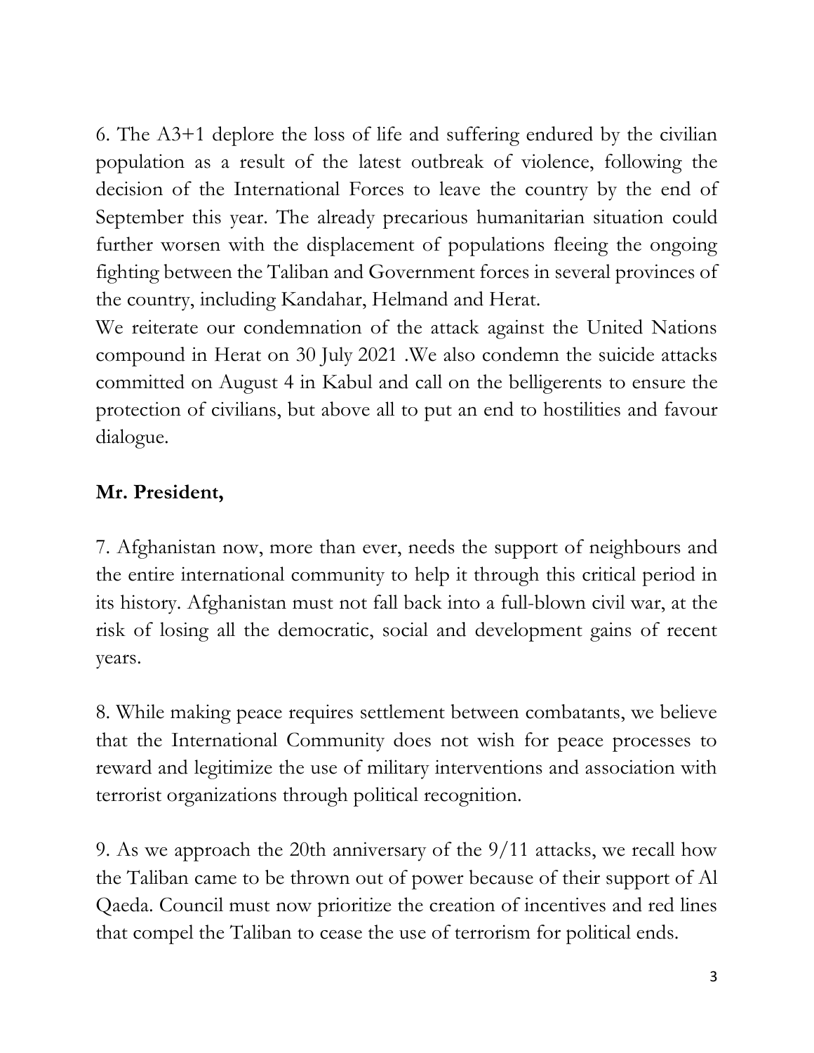6. The A3+1 deplore the loss of life and suffering endured by the civilian population as a result of the latest outbreak of violence, following the decision of the International Forces to leave the country by the end of September this year. The already precarious humanitarian situation could further worsen with the displacement of populations fleeing the ongoing fighting between the Taliban and Government forces in several provinces of the country, including Kandahar, Helmand and Herat.

We reiterate our condemnation of the attack against the United Nations compound in Herat on 30 July 2021 .We also condemn the suicide attacks committed on August 4 in Kabul and call on the belligerents to ensure the protection of civilians, but above all to put an end to hostilities and favour dialogue.

# **Mr. President,**

7. Afghanistan now, more than ever, needs the support of neighbours and the entire international community to help it through this critical period in its history. Afghanistan must not fall back into a full-blown civil war, at the risk of losing all the democratic, social and development gains of recent years.

8. While making peace requires settlement between combatants, we believe that the International Community does not wish for peace processes to reward and legitimize the use of military interventions and association with terrorist organizations through political recognition.

9. As we approach the 20th anniversary of the 9/11 attacks, we recall how the Taliban came to be thrown out of power because of their support of Al Qaeda. Council must now prioritize the creation of incentives and red lines that compel the Taliban to cease the use of terrorism for political ends.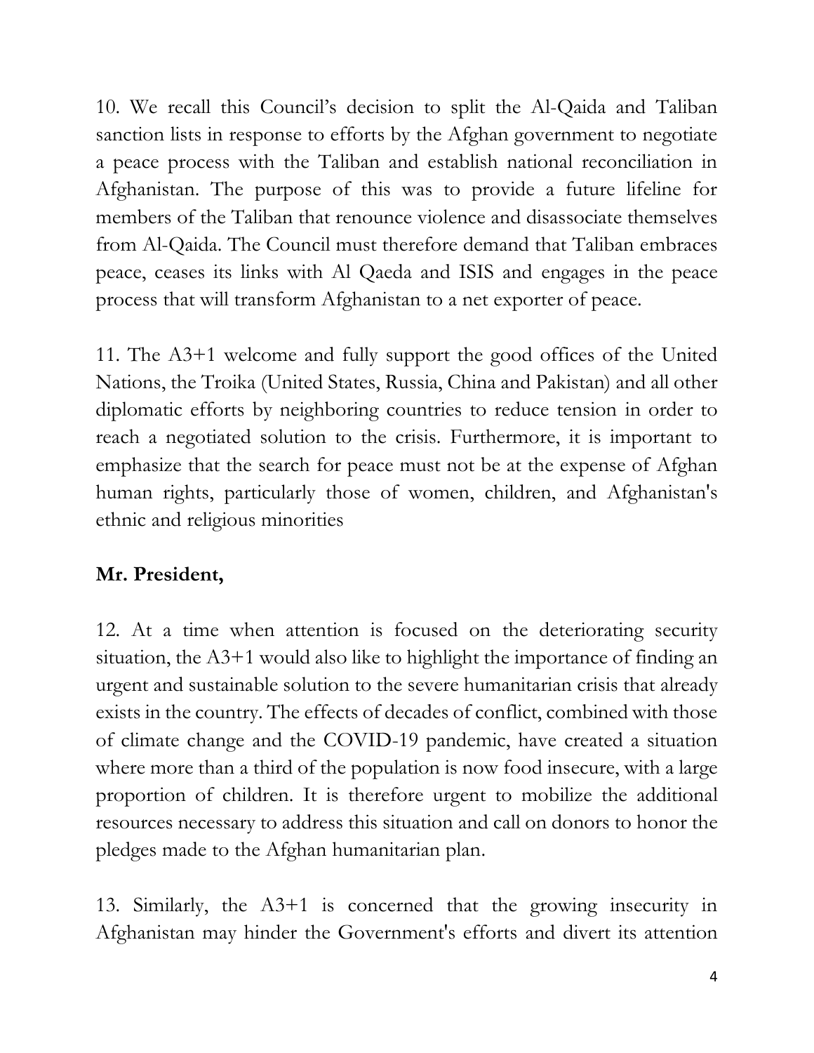10. We recall this Council's decision to split the Al-Qaida and Taliban sanction lists in response to efforts by the Afghan government to negotiate a peace process with the Taliban and establish national reconciliation in Afghanistan. The purpose of this was to provide a future lifeline for members of the Taliban that renounce violence and disassociate themselves from Al-Qaida. The Council must therefore demand that Taliban embraces peace, ceases its links with Al Qaeda and ISIS and engages in the peace process that will transform Afghanistan to a net exporter of peace.

11. The A3+1 welcome and fully support the good offices of the United Nations, the Troika (United States, Russia, China and Pakistan) and all other diplomatic efforts by neighboring countries to reduce tension in order to reach a negotiated solution to the crisis. Furthermore, it is important to emphasize that the search for peace must not be at the expense of Afghan human rights, particularly those of women, children, and Afghanistan's ethnic and religious minorities

## **Mr. President,**

12. At a time when attention is focused on the deteriorating security situation, the A3+1 would also like to highlight the importance of finding an urgent and sustainable solution to the severe humanitarian crisis that already exists in the country. The effects of decades of conflict, combined with those of climate change and the COVID-19 pandemic, have created a situation where more than a third of the population is now food insecure, with a large proportion of children. It is therefore urgent to mobilize the additional resources necessary to address this situation and call on donors to honor the pledges made to the Afghan humanitarian plan.

13. Similarly, the A3+1 is concerned that the growing insecurity in Afghanistan may hinder the Government's efforts and divert its attention